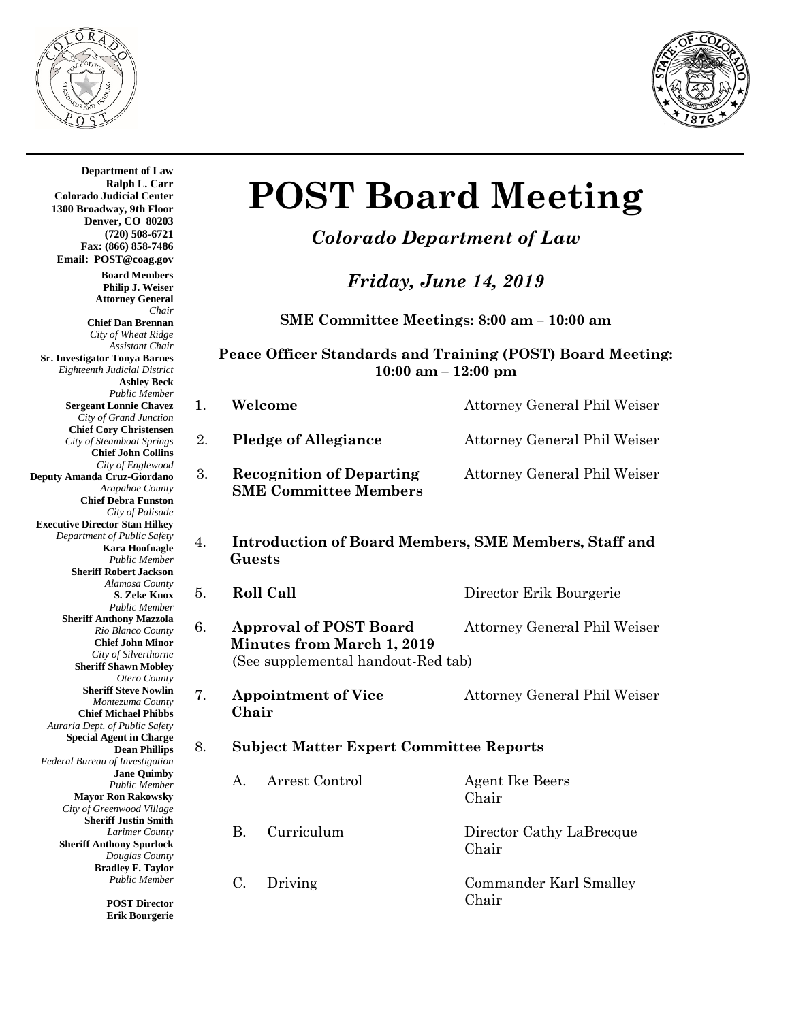



 **Guests Chair Department of Law Ralph L. Carr Colorado Judicial Center 1300 Broadway, 9th Floor Denver, CO 80203 (720) 508-6721 Fax: (866) 858-7486 Email: POST@coag.gov Board Members Philip J. Weiser Attorney General** *Chair* **Chief Dan Brennan** *City of Wheat Ridge Assistant Chair* **Sr. Investigator Tonya Barnes** *Eighteenth Judicial District* **Ashley Beck** *Public Member* **Sergeant Lonnie Chavez** *City of Grand Junction* **Chief Cory Christensen** *City of Steamboat Springs* **Chief John Collins** *City of Englewood* **Deputy Amanda Cruz-Giordano** *Arapahoe County* **Chief Debra Funston** *City of Palisade* **Executive Director Stan Hilkey** *Department of Public Safety* **Kara Hoofnagle** *Public Member* **Sheriff Robert Jackson** *Alamosa County* **S. Zeke Knox** *Public Member* **Sheriff Anthony Mazzola** *Rio Blanco County* **Chief John Minor** *City of Silverthorne* **Sheriff Shawn Mobley** *Otero County* **Sheriff Steve Nowlin** *Montezuma County* **Chief Michael Phibbs** *Auraria Dept. of Public Safety* **Special Agent in Charge Dean Phillips** *Federal Bureau of Investigation* **Jane Quimby** *Public Member* **Mayor Ron Rakowsky** *City of Greenwood Village* **Sheriff Justin Smith** *Larimer County* **Sheriff Anthony Spurlock** *Douglas County* **Bradley F. Taylor** *Public Member* **POST Director**

**Erik Bourgerie**

# **POST Board Meeting**

## *Colorado Department of Law*

*Friday, June 14, 2019*

**SME Committee Meetings: 8:00 am – 10:00 am**

#### **Peace Officer Standards and Training (POST) Board Meeting: 10:00 am – 12:00 pm**

| 1. |                                                                                                          | Welcome                                                         | <b>Attorney General Phil Weiser</b> |  |  |
|----|----------------------------------------------------------------------------------------------------------|-----------------------------------------------------------------|-------------------------------------|--|--|
| 2. |                                                                                                          | <b>Pledge of Allegiance</b>                                     | Attorney General Phil Weiser        |  |  |
| 3. |                                                                                                          | <b>Recognition of Departing</b><br><b>SME Committee Members</b> | Attorney General Phil Weiser        |  |  |
| 4. | <b>Introduction of Board Members, SME Members, Staff and</b><br>Guests                                   |                                                                 |                                     |  |  |
| 5. | <b>Roll Call</b>                                                                                         |                                                                 | Director Erik Bourgerie             |  |  |
| 6. | <b>Approval of POST Board</b><br><b>Minutes from March 1, 2019</b><br>(See supplemental handout-Red tab) |                                                                 | Attorney General Phil Weiser        |  |  |
| 7. | <b>Appointment of Vice</b><br>Chair                                                                      |                                                                 | <b>Attorney General Phil Weiser</b> |  |  |
| 8. | <b>Subject Matter Expert Committee Reports</b>                                                           |                                                                 |                                     |  |  |
|    | A.                                                                                                       | Arrest Control                                                  | <b>Agent Ike Beers</b><br>Chair     |  |  |
|    | B.                                                                                                       | Curriculum                                                      | Director Cathy LaBrecque<br>Chair   |  |  |
|    | C.                                                                                                       | Driving                                                         | Commander Karl Smalley<br>Chair     |  |  |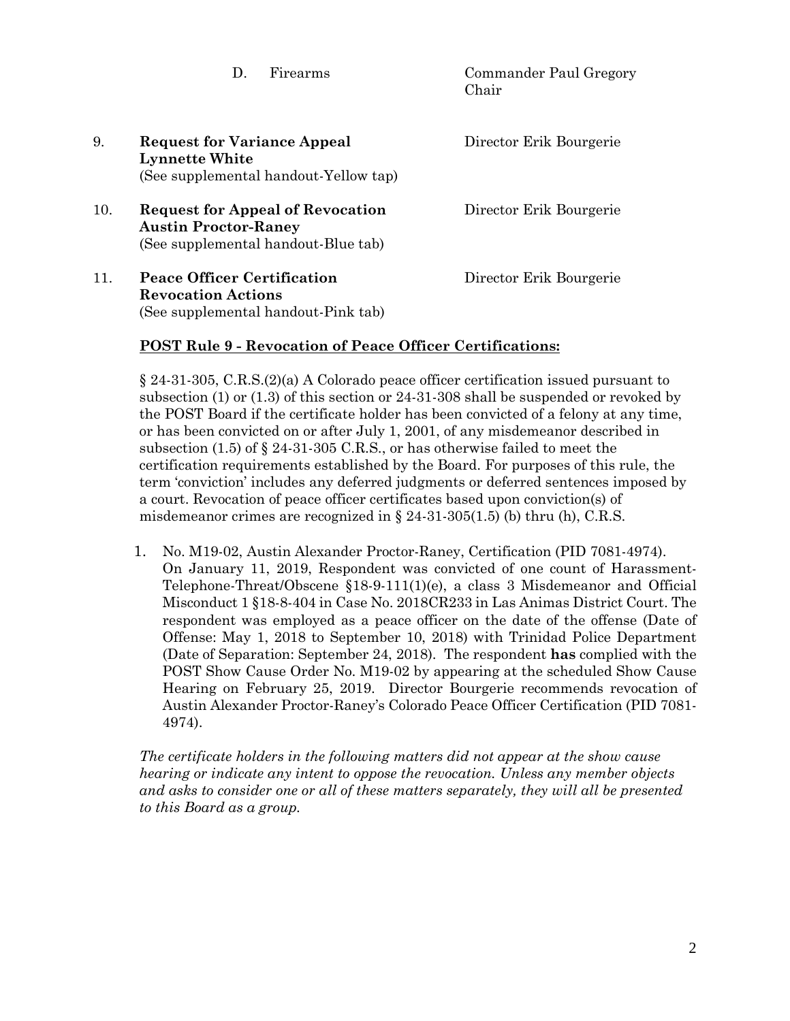Chair 9. **Request for Variance Appeal** Director Erik Bourgerie **Lynnette White** (See supplemental handout-Yellow tap) 10. **Request for Appeal of Revocation** Director Erik Bourgerie **Austin Proctor-Raney** (See supplemental handout-Blue tab) 11. **Peace Officer Certification** Director Erik Bourgerie **Revocation Actions**  (See supplemental handout-Pink tab)

### **POST Rule 9 - Revocation of Peace Officer Certifications:**

§ 24-31-305, C.R.S.(2)(a) A Colorado peace officer certification issued pursuant to subsection (1) or (1.3) of this section or 24-31-308 shall be suspended or revoked by the POST Board if the certificate holder has been convicted of a felony at any time, or has been convicted on or after July 1, 2001, of any misdemeanor described in subsection (1.5) of § 24-31-305 C.R.S., or has otherwise failed to meet the certification requirements established by the Board. For purposes of this rule, the term 'conviction' includes any deferred judgments or deferred sentences imposed by a court. Revocation of peace officer certificates based upon conviction(s) of misdemeanor crimes are recognized in  $\S 24-31-305(1.5)$  (b) thru (h), C.R.S.

D. Firearms Commander Paul Gregory

1. No. M19-02, Austin Alexander Proctor-Raney, Certification (PID 7081-4974). On January 11, 2019, Respondent was convicted of one count of Harassment-Telephone-Threat/Obscene §18-9-111(1)(e), a class 3 Misdemeanor and Official Misconduct 1 §18-8-404 in Case No. 2018CR233 in Las Animas District Court. The respondent was employed as a peace officer on the date of the offense (Date of Offense: May 1, 2018 to September 10, 2018) with Trinidad Police Department (Date of Separation: September 24, 2018). The respondent **has** complied with the POST Show Cause Order No. M19-02 by appearing at the scheduled Show Cause Hearing on February 25, 2019. Director Bourgerie recommends revocation of Austin Alexander Proctor-Raney's Colorado Peace Officer Certification (PID 7081- 4974).

*The certificate holders in the following matters did not appear at the show cause hearing or indicate any intent to oppose the revocation. Unless any member objects and asks to consider one or all of these matters separately, they will all be presented to this Board as a group.*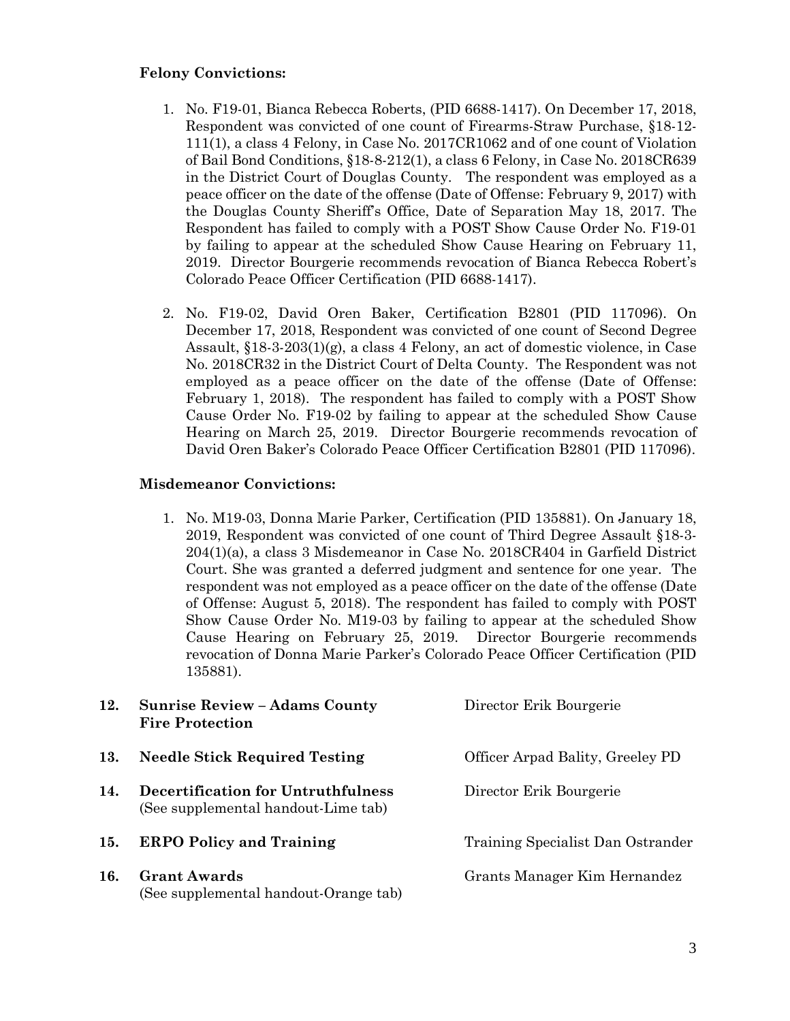#### **Felony Convictions:**

- 1. No. F19-01, Bianca Rebecca Roberts, (PID 6688-1417). On December 17, 2018, Respondent was convicted of one count of Firearms-Straw Purchase, §18-12- 111(1), a class 4 Felony, in Case No. 2017CR1062 and of one count of Violation of Bail Bond Conditions, §18-8-212(1), a class 6 Felony, in Case No. 2018CR639 in the District Court of Douglas County. The respondent was employed as a peace officer on the date of the offense (Date of Offense: February 9, 2017) with the Douglas County Sheriff's Office, Date of Separation May 18, 2017. The Respondent has failed to comply with a POST Show Cause Order No. F19-01 by failing to appear at the scheduled Show Cause Hearing on February 11, 2019. Director Bourgerie recommends revocation of Bianca Rebecca Robert's Colorado Peace Officer Certification (PID 6688-1417).
- 2. No. F19-02, David Oren Baker, Certification B2801 (PID 117096). On December 17, 2018, Respondent was convicted of one count of Second Degree Assault, §18-3-203(1)(g), a class 4 Felony, an act of domestic violence, in Case No. 2018CR32 in the District Court of Delta County. The Respondent was not employed as a peace officer on the date of the offense (Date of Offense: February 1, 2018). The respondent has failed to comply with a POST Show Cause Order No. F19-02 by failing to appear at the scheduled Show Cause Hearing on March 25, 2019. Director Bourgerie recommends revocation of David Oren Baker's Colorado Peace Officer Certification B2801 (PID 117096).

#### **Misdemeanor Convictions:**

1. No. M19-03, Donna Marie Parker, Certification (PID 135881). On January 18, 2019, Respondent was convicted of one count of Third Degree Assault §18-3- 204(1)(a), a class 3 Misdemeanor in Case No. 2018CR404 in Garfield District Court. She was granted a deferred judgment and sentence for one year. The respondent was not employed as a peace officer on the date of the offense (Date of Offense: August 5, 2018). The respondent has failed to comply with POST Show Cause Order No. M19-03 by failing to appear at the scheduled Show Cause Hearing on February 25, 2019. Director Bourgerie recommends revocation of Donna Marie Parker's Colorado Peace Officer Certification (PID 135881).

| 12. | <b>Sunrise Review - Adams County</b><br><b>Fire Protection</b>            | Director Erik Bourgerie           |
|-----|---------------------------------------------------------------------------|-----------------------------------|
| 13. | <b>Needle Stick Required Testing</b>                                      | Officer Arpad Bality, Greeley PD  |
| 14. | Decertification for Untruthfulness<br>(See supplemental handout-Lime tab) | Director Erik Bourgerie           |
| 15. | <b>ERPO Policy and Training</b>                                           | Training Specialist Dan Ostrander |
| 16. | <b>Grant Awards</b><br>(See supplemental handout-Orange tab)              | Grants Manager Kim Hernandez      |